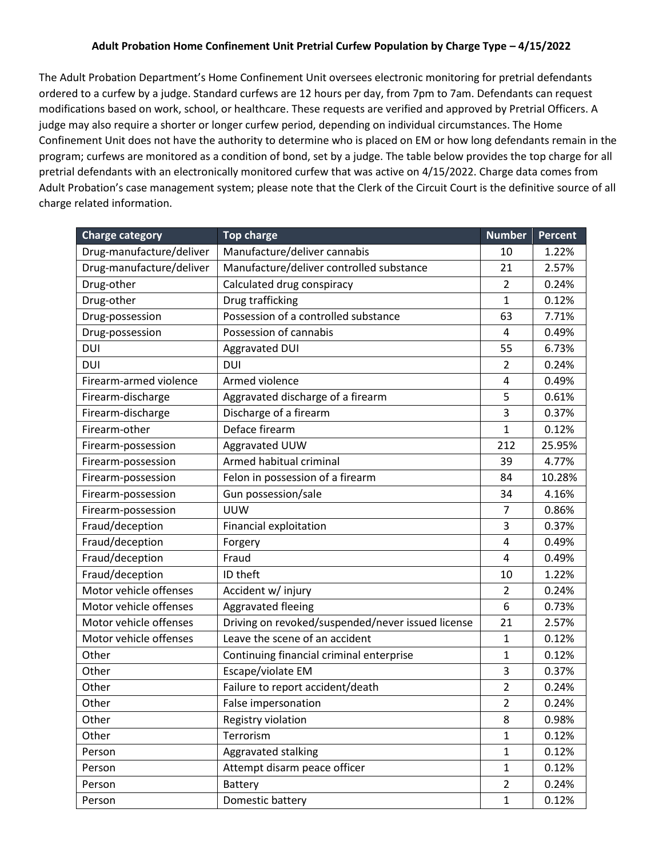## **Adult Probation Home Confinement Unit Pretrial Curfew Population by Charge Type – 4/15/2022**

The Adult Probation Department's Home Confinement Unit oversees electronic monitoring for pretrial defendants ordered to a curfew by a judge. Standard curfews are 12 hours per day, from 7pm to 7am. Defendants can request modifications based on work, school, or healthcare. These requests are verified and approved by Pretrial Officers. A judge may also require a shorter or longer curfew period, depending on individual circumstances. The Home Confinement Unit does not have the authority to determine who is placed on EM or how long defendants remain in the program; curfews are monitored as a condition of bond, set by a judge. The table below provides the top charge for all pretrial defendants with an electronically monitored curfew that was active on 4/15/2022. Charge data comes from Adult Probation's case management system; please note that the Clerk of the Circuit Court is the definitive source of all charge related information.

| <b>Charge category</b>   | <b>Top charge</b>                                 | <b>Number</b>  | <b>Percent</b> |
|--------------------------|---------------------------------------------------|----------------|----------------|
| Drug-manufacture/deliver | Manufacture/deliver cannabis                      | 10             | 1.22%          |
| Drug-manufacture/deliver | Manufacture/deliver controlled substance          | 21             | 2.57%          |
| Drug-other               | Calculated drug conspiracy                        | $\overline{2}$ | 0.24%          |
| Drug-other               | Drug trafficking                                  | $\mathbf{1}$   | 0.12%          |
| Drug-possession          | Possession of a controlled substance              | 63             | 7.71%          |
| Drug-possession          | Possession of cannabis                            | 4              | 0.49%          |
| DUI                      | Aggravated DUI                                    | 55             | 6.73%          |
| DUI                      | DUI                                               | 2              | 0.24%          |
| Firearm-armed violence   | Armed violence                                    | 4              | 0.49%          |
| Firearm-discharge        | Aggravated discharge of a firearm                 | 5              | 0.61%          |
| Firearm-discharge        | Discharge of a firearm                            | 3              | 0.37%          |
| Firearm-other            | Deface firearm                                    | 1              | 0.12%          |
| Firearm-possession       | Aggravated UUW                                    | 212            | 25.95%         |
| Firearm-possession       | Armed habitual criminal                           | 39             | 4.77%          |
| Firearm-possession       | Felon in possession of a firearm                  | 84             | 10.28%         |
| Firearm-possession       | Gun possession/sale                               | 34             | 4.16%          |
| Firearm-possession       | <b>UUW</b>                                        | 7              | 0.86%          |
| Fraud/deception          | Financial exploitation                            | 3              | 0.37%          |
| Fraud/deception          | Forgery                                           | 4              | 0.49%          |
| Fraud/deception          | Fraud                                             | 4              | 0.49%          |
| Fraud/deception          | ID theft                                          | 10             | 1.22%          |
| Motor vehicle offenses   | Accident w/ injury                                | $\overline{2}$ | 0.24%          |
| Motor vehicle offenses   | Aggravated fleeing                                | 6              | 0.73%          |
| Motor vehicle offenses   | Driving on revoked/suspended/never issued license | 21             | 2.57%          |
| Motor vehicle offenses   | Leave the scene of an accident                    | 1              | 0.12%          |
| Other                    | Continuing financial criminal enterprise          | $\mathbf{1}$   | 0.12%          |
| Other                    | Escape/violate EM                                 | 3              | 0.37%          |
| Other                    | Failure to report accident/death                  | $\overline{2}$ | 0.24%          |
| Other                    | False impersonation                               | $\overline{2}$ | 0.24%          |
| Other                    | Registry violation                                | 8              | 0.98%          |
| Other                    | Terrorism                                         | 1              | 0.12%          |
| Person                   | Aggravated stalking                               | $\mathbf{1}$   | 0.12%          |
| Person                   | Attempt disarm peace officer                      | 1              | 0.12%          |
| Person                   | Battery                                           | $\overline{2}$ | 0.24%          |
| Person                   | Domestic battery                                  | $\mathbf{1}$   | 0.12%          |